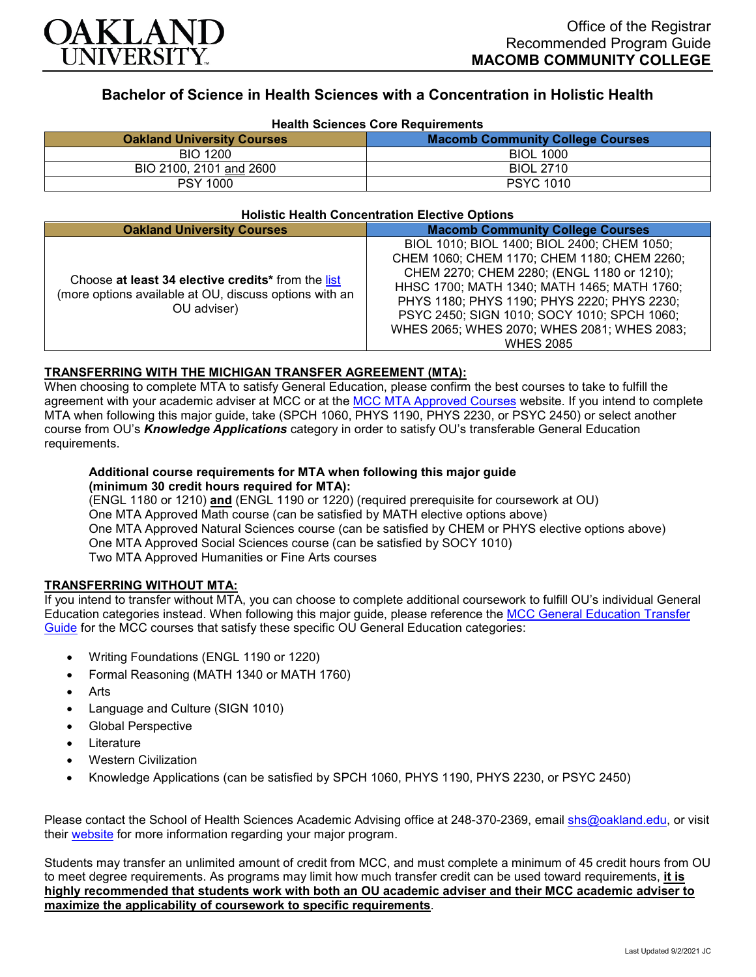

# **Bachelor of Science in Health Sciences with a Concentration in Holistic Health**

| <b>Health Sciences Core Requirements</b> |                                         |
|------------------------------------------|-----------------------------------------|
| <b>Oakland University Courses</b>        | <b>Macomb Community College Courses</b> |
| <b>BIO 1200</b>                          | <b>BIOL 1000</b>                        |
| BIO 2100, 2101 and 2600                  | <b>BIOL 2710</b>                        |
| <b>PSY 1000</b>                          | <b>PSYC 1010</b>                        |

#### **Holistic Health Concentration Elective Options**

| <b>Oakland University Courses</b>                                                                                           | <b>Macomb Community College Courses</b>                                                                                                                                                                                                                                                                                                                  |
|-----------------------------------------------------------------------------------------------------------------------------|----------------------------------------------------------------------------------------------------------------------------------------------------------------------------------------------------------------------------------------------------------------------------------------------------------------------------------------------------------|
| Choose at least 34 elective credits* from the list<br>(more options available at OU, discuss options with an<br>OU adviser) | BIOL 1010; BIOL 1400; BIOL 2400; CHEM 1050;<br>CHEM 1060; CHEM 1170; CHEM 1180; CHEM 2260;<br>CHEM 2270; CHEM 2280; (ENGL 1180 or 1210);<br>HHSC 1700; MATH 1340; MATH 1465; MATH 1760;<br>PHYS 1180; PHYS 1190; PHYS 2220; PHYS 2230;<br>PSYC 2450; SIGN 1010; SOCY 1010; SPCH 1060;<br>WHES 2065; WHES 2070; WHES 2081; WHES 2083;<br><b>WHES 2085</b> |

### **TRANSFERRING WITH THE MICHIGAN TRANSFER AGREEMENT (MTA):**

When choosing to complete MTA to satisfy General Education, please confirm the best courses to take to fulfill the agreement with your academic adviser at MCC or at the [MCC MTA Approved Courses](https://www.macomb.edu/resources/transfer-articulation/attachments/mta-macrao-course-list.pdf) website. If you intend to complete MTA when following this major guide, take (SPCH 1060, PHYS 1190, PHYS 2230, or PSYC 2450) or select another course from OU's *Knowledge Applications* category in order to satisfy OU's transferable General Education requirements.

#### **Additional course requirements for MTA when following this major guide (minimum 30 credit hours required for MTA):**

(ENGL 1180 or 1210) **and** (ENGL 1190 or 1220) (required prerequisite for coursework at OU) One MTA Approved Math course (can be satisfied by MATH elective options above) One MTA Approved Natural Sciences course (can be satisfied by CHEM or PHYS elective options above) One MTA Approved Social Sciences course (can be satisfied by SOCY 1010) Two MTA Approved Humanities or Fine Arts courses

#### **TRANSFERRING WITHOUT MTA:**

If you intend to transfer without MTA, you can choose to complete additional coursework to fulfill OU's individual General Education categories instead. When following this major guide, please reference the [MCC General Education Transfer](https://www.oakland.edu/Assets/Oakland/program-guides/macomb-community-college/university-general-education-requirements/MCC%20Gen%20Ed.pdf)  [Guide](https://www.oakland.edu/Assets/Oakland/program-guides/macomb-community-college/university-general-education-requirements/MCC%20Gen%20Ed.pdf) for the MCC courses that satisfy these specific OU General Education categories:

- Writing Foundations (ENGL 1190 or 1220)
- Formal Reasoning (MATH 1340 or MATH 1760)
- **Arts**
- Language and Culture (SIGN 1010)
- Global Perspective
- **Literature**
- Western Civilization
- Knowledge Applications (can be satisfied by SPCH 1060, PHYS 1190, PHYS 2230, or PSYC 2450)

Please contact the School of Health Sciences Academic Advising office at 248-370-2369, email [shs@oakland.edu,](mailto:shs@oakland.edu) or visit their [website](http://www.oakland.edu/shs/advising) for more information regarding your major program.

Students may transfer an unlimited amount of credit from MCC, and must complete a minimum of 45 credit hours from OU to meet degree requirements. As programs may limit how much transfer credit can be used toward requirements, **it is highly recommended that students work with both an OU academic adviser and their MCC academic adviser to maximize the applicability of coursework to specific requirements**.